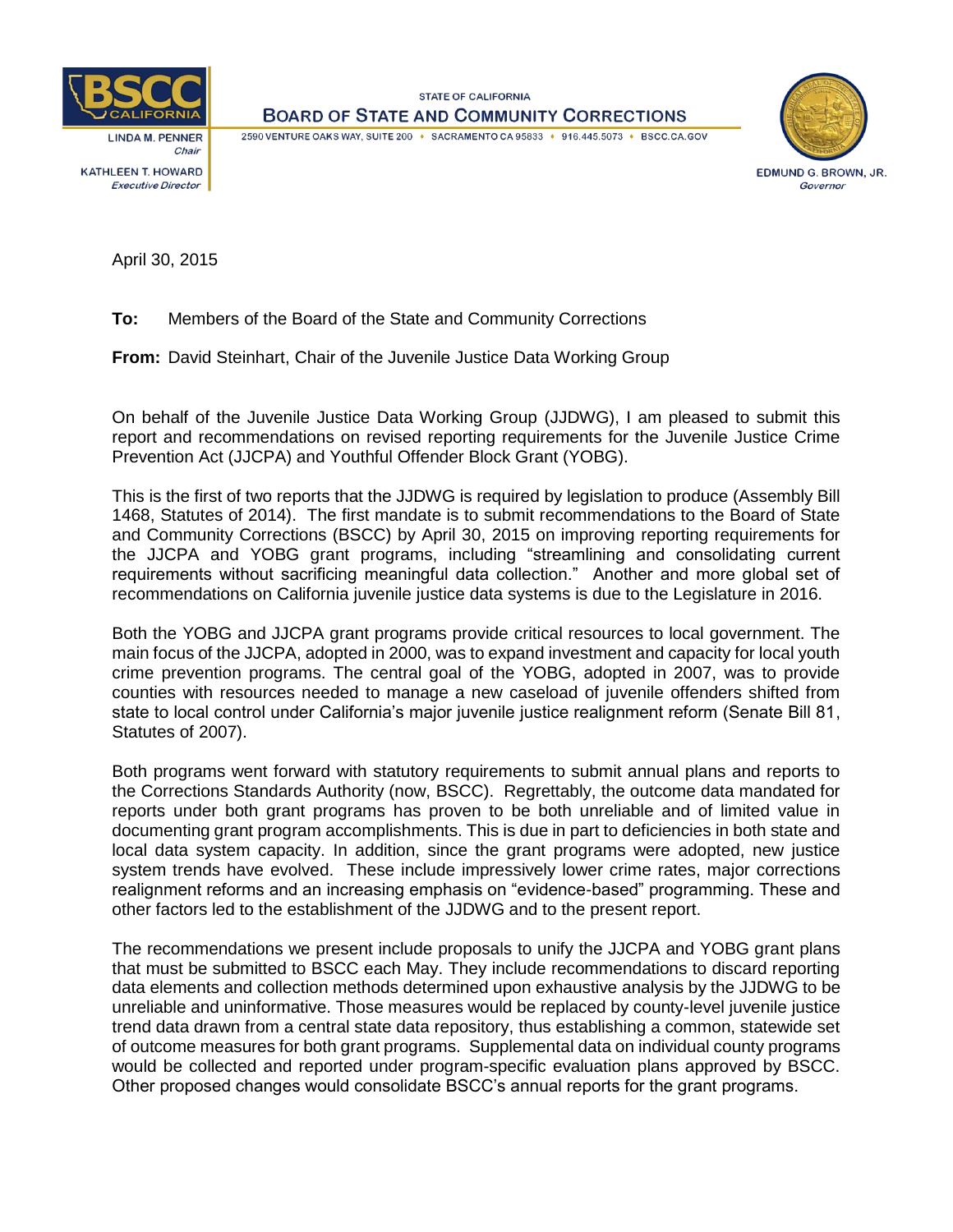

**LINDA M. PENNER** Chair **KATHLEEN T. HOWARD Executive Director** 

**STATE OF CALIFORNIA BOARD OF STATE AND COMMUNITY CORRECTIONS** 

2590 VENTURE OAKS WAY, SUITE 200 + SACRAMENTO CA 95833 + 916.445.5073 + BSCC.CA.GOV



EDMUND G. BROWN, JR. Governor

April 30, 2015

**To:** Members of the Board of the State and Community Corrections

**From:** David Steinhart, Chair of the Juvenile Justice Data Working Group

On behalf of the Juvenile Justice Data Working Group (JJDWG), I am pleased to submit this report and recommendations on revised reporting requirements for the Juvenile Justice Crime Prevention Act (JJCPA) and Youthful Offender Block Grant (YOBG).

This is the first of two reports that the JJDWG is required by legislation to produce (Assembly Bill 1468, Statutes of 2014). The first mandate is to submit recommendations to the Board of State and Community Corrections (BSCC) by April 30, 2015 on improving reporting requirements for the JJCPA and YOBG grant programs, including "streamlining and consolidating current requirements without sacrificing meaningful data collection." Another and more global set of recommendations on California juvenile justice data systems is due to the Legislature in 2016.

Both the YOBG and JJCPA grant programs provide critical resources to local government. The main focus of the JJCPA, adopted in 2000, was to expand investment and capacity for local youth crime prevention programs. The central goal of the YOBG, adopted in 2007, was to provide counties with resources needed to manage a new caseload of juvenile offenders shifted from state to local control under California's major juvenile justice realignment reform (Senate Bill 81, Statutes of 2007).

Both programs went forward with statutory requirements to submit annual plans and reports to the Corrections Standards Authority (now, BSCC). Regrettably, the outcome data mandated for reports under both grant programs has proven to be both unreliable and of limited value in documenting grant program accomplishments. This is due in part to deficiencies in both state and local data system capacity. In addition, since the grant programs were adopted, new justice system trends have evolved. These include impressively lower crime rates, major corrections realignment reforms and an increasing emphasis on "evidence-based" programming. These and other factors led to the establishment of the JJDWG and to the present report.

The recommendations we present include proposals to unify the JJCPA and YOBG grant plans that must be submitted to BSCC each May. They include recommendations to discard reporting data elements and collection methods determined upon exhaustive analysis by the JJDWG to be unreliable and uninformative. Those measures would be replaced by county-level juvenile justice trend data drawn from a central state data repository, thus establishing a common, statewide set of outcome measures for both grant programs. Supplemental data on individual county programs would be collected and reported under program-specific evaluation plans approved by BSCC. Other proposed changes would consolidate BSCC's annual reports for the grant programs.